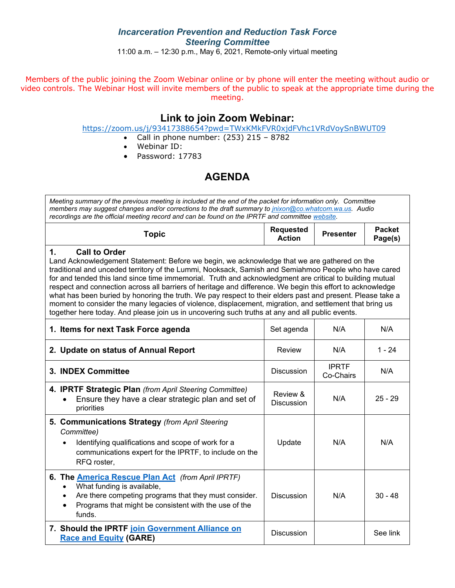### *Incarceration Prevention and Reduction Task Force Steering Committee*

11:00 a.m. – 12:30 p.m., May 6, 2021, Remote-only virtual meeting

Members of the public joining the Zoom Webinar online or by phone will enter the meeting without audio or video controls. The Webinar Host will invite members of the public to speak at the appropriate time during the meeting.

## **Link to join Zoom Webinar:**

<https://zoom.us/j/93417388654?pwd=TWxKMkFVR0xjdFVhc1VRdVoySnBWUT09>

- Call in phone number:  $(253)$  215 8782
- Webinar ID:
- Password: 17783

# **AGENDA**

| Meeting summary of the previous meeting is included at the end of the packet for information only. Committee<br>members may suggest changes and/or corrections to the draft summary to jnixon@co.whatcom.wa.us. Audio<br>recordings are the official meeting record and can be found on the IPRTF and committee website.                                                                                                                                                                                                                                                                                                                                                                                                                                                                |                                   |                           |                          |  |  |  |  |
|-----------------------------------------------------------------------------------------------------------------------------------------------------------------------------------------------------------------------------------------------------------------------------------------------------------------------------------------------------------------------------------------------------------------------------------------------------------------------------------------------------------------------------------------------------------------------------------------------------------------------------------------------------------------------------------------------------------------------------------------------------------------------------------------|-----------------------------------|---------------------------|--------------------------|--|--|--|--|
| <b>Topic</b>                                                                                                                                                                                                                                                                                                                                                                                                                                                                                                                                                                                                                                                                                                                                                                            | <b>Requested</b><br><b>Action</b> | <b>Presenter</b>          | <b>Packet</b><br>Page(s) |  |  |  |  |
| <b>Call to Order</b><br>1.<br>Land Acknowledgement Statement: Before we begin, we acknowledge that we are gathered on the<br>traditional and unceded territory of the Lummi, Nooksack, Samish and Semiahmoo People who have cared<br>for and tended this land since time immemorial. Truth and acknowledgment are critical to building mutual<br>respect and connection across all barriers of heritage and difference. We begin this effort to acknowledge<br>what has been buried by honoring the truth. We pay respect to their elders past and present. Please take a<br>moment to consider the many legacies of violence, displacement, migration, and settlement that bring us<br>together here today. And please join us in uncovering such truths at any and all public events. |                                   |                           |                          |  |  |  |  |
| 1. Items for next Task Force agenda                                                                                                                                                                                                                                                                                                                                                                                                                                                                                                                                                                                                                                                                                                                                                     | Set agenda                        | N/A                       | N/A                      |  |  |  |  |
| 2. Update on status of Annual Report                                                                                                                                                                                                                                                                                                                                                                                                                                                                                                                                                                                                                                                                                                                                                    | Review                            | N/A                       | $1 - 24$                 |  |  |  |  |
| 3. INDEX Committee                                                                                                                                                                                                                                                                                                                                                                                                                                                                                                                                                                                                                                                                                                                                                                      | <b>Discussion</b>                 | <b>IPRTF</b><br>Co-Chairs | N/A                      |  |  |  |  |
| 4. IPRTF Strategic Plan (from April Steering Committee)<br>Ensure they have a clear strategic plan and set of<br>priorities                                                                                                                                                                                                                                                                                                                                                                                                                                                                                                                                                                                                                                                             | Review &<br><b>Discussion</b>     | N/A                       | $25 - 29$                |  |  |  |  |
| 5. Communications Strategy (from April Steering<br>Committee)<br>Identifying qualifications and scope of work for a<br>communications expert for the IPRTF, to include on the<br>RFQ roster,                                                                                                                                                                                                                                                                                                                                                                                                                                                                                                                                                                                            | Update                            | N/A                       | N/A                      |  |  |  |  |
| 6. The <b>America Rescue Plan Act</b> (from April IPRTF)<br>What funding is available,<br>Are there competing programs that they must consider.<br>$\bullet$<br>Programs that might be consistent with the use of the<br>funds.                                                                                                                                                                                                                                                                                                                                                                                                                                                                                                                                                         | <b>Discussion</b>                 | N/A                       | $30 - 48$                |  |  |  |  |
| 7. Should the IPRTF join Government Alliance on<br><b>Race and Equity (GARE)</b>                                                                                                                                                                                                                                                                                                                                                                                                                                                                                                                                                                                                                                                                                                        | <b>Discussion</b>                 |                           | See link                 |  |  |  |  |